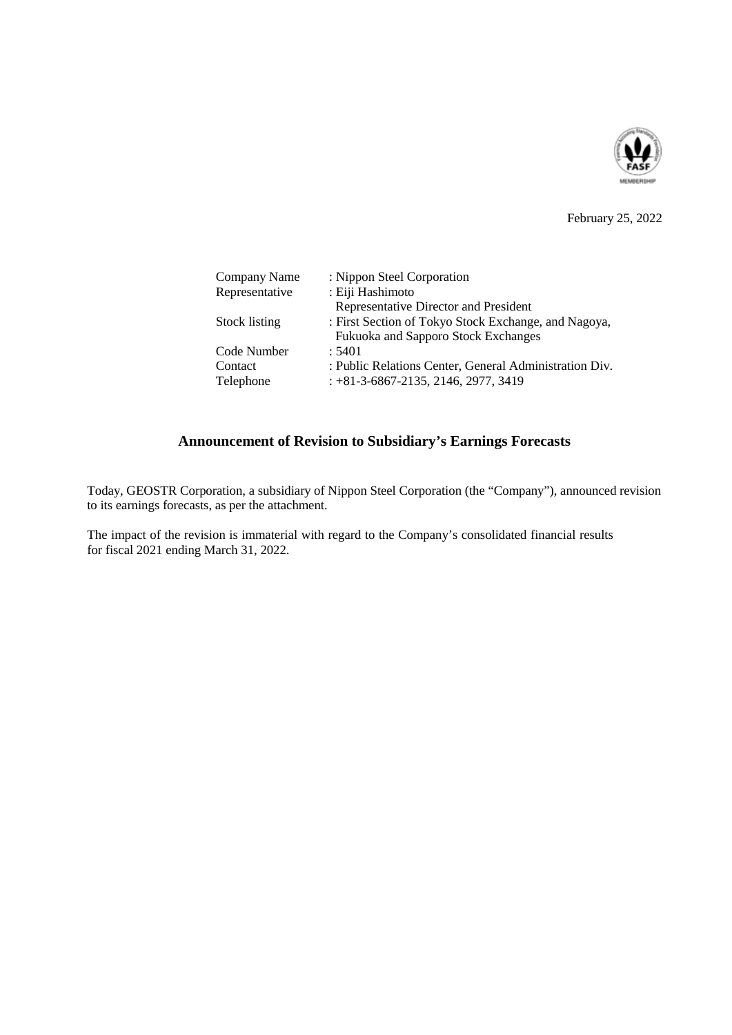

### February 25, 2022

| Company Name   | : Nippon Steel Corporation                             |
|----------------|--------------------------------------------------------|
| Representative | : Eiji Hashimoto                                       |
|                | Representative Director and President                  |
| Stock listing  | : First Section of Tokyo Stock Exchange, and Nagoya,   |
|                | Fukuoka and Sapporo Stock Exchanges                    |
| Code Number    | : 5401                                                 |
| Contact        | : Public Relations Center, General Administration Div. |
| Telephone      | $: +81-3-6867-2135, 2146, 2977, 3419$                  |

# **Announcement of Revision to Subsidiary's Earnings Forecasts**

Today, GEOSTR Corporation, a subsidiary of Nippon Steel Corporation (the "Company"), announced revision to its earnings forecasts, as per the attachment.

The impact of the revision is immaterial with regard to the Company's consolidated financial results for fiscal 2021 ending March 31, 2022.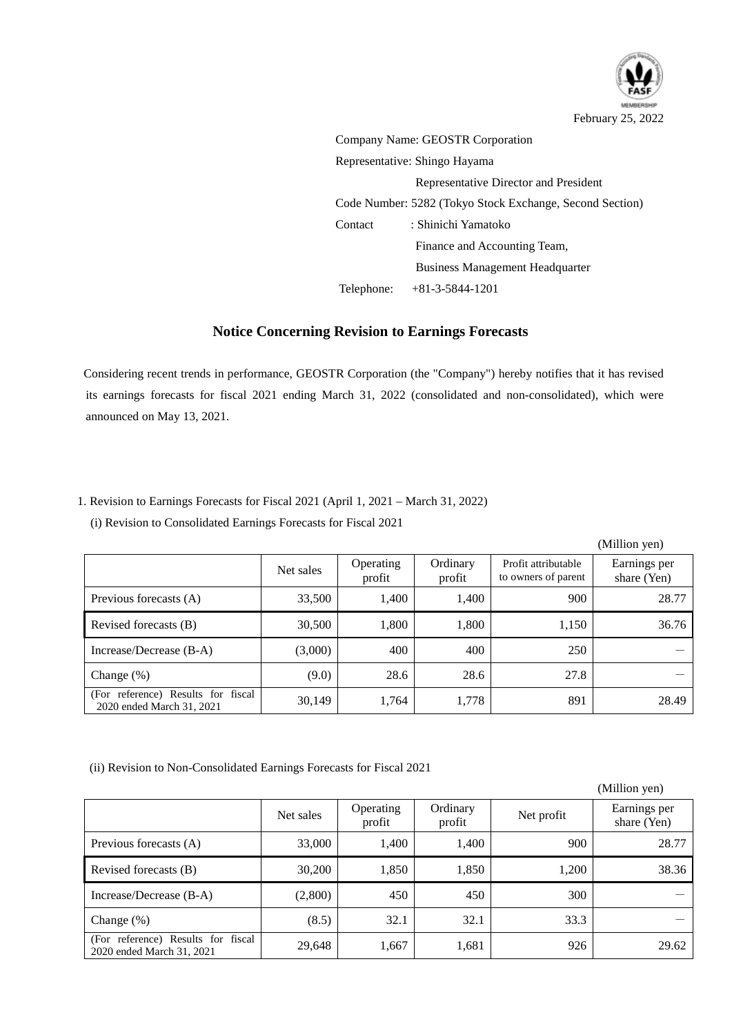

 $\alpha$  and  $\beta$ 

Company Name: GEOSTR Corporation Representative: Shingo Hayama Representative Director and President Code Number: 5282 (Tokyo Stock Exchange, Second Section) Contact : Shinichi Yamatoko Finance and Accounting Team, Business Management Headquarter Telephone: +81-3-5844-1201

## **Notice Concerning Revision to Earnings Forecasts**

Considering recent trends in performance, GEOSTR Corporation (the "Company") hereby notifies that it has revised its earnings forecasts for fiscal 2021 ending March 31, 2022 (consolidated and non-consolidated), which were announced on May 13, 2021.

#### 1. Revision to Earnings Forecasts for Fiscal 2021 (April 1, 2021 – March 31, 2022)

(i) Revision to Consolidated Earnings Forecasts for Fiscal 2021

|                                                                 |           |                     |                    |                                            | (мишоп уеп)                 |
|-----------------------------------------------------------------|-----------|---------------------|--------------------|--------------------------------------------|-----------------------------|
|                                                                 | Net sales | Operating<br>profit | Ordinary<br>profit | Profit attributable<br>to owners of parent | Earnings per<br>share (Yen) |
| Previous forecasts (A)                                          | 33,500    | 1,400               | 1,400              | 900                                        | 28.77                       |
| Revised forecasts (B)                                           | 30,500    | 1,800               | 1,800              | 1,150                                      | 36.76                       |
| Increase/Decrease (B-A)                                         | (3,000)   | 400                 | 400                | 250                                        |                             |
| Change $(\%)$                                                   | (9.0)     | 28.6                | 28.6               | 27.8                                       |                             |
| (For reference) Results for fiscal<br>2020 ended March 31, 2021 | 30,149    | 1,764               | 1,778              | 891                                        | 28.49                       |

(ii) Revision to Non-Consolidated Earnings Forecasts for Fiscal 2021

|                                                                 |           |                     |                    |            | (Million yen)               |
|-----------------------------------------------------------------|-----------|---------------------|--------------------|------------|-----------------------------|
|                                                                 | Net sales | Operating<br>profit | Ordinary<br>profit | Net profit | Earnings per<br>share (Yen) |
| Previous forecasts (A)                                          | 33,000    | 1,400               | 1,400              | 900        | 28.77                       |
| Revised forecasts (B)                                           | 30,200    | 1,850               | 1,850              | 1,200      | 38.36                       |
| Increase/Decrease (B-A)                                         | (2,800)   | 450                 | 450                | 300        |                             |
| Change $(\%)$                                                   | (8.5)     | 32.1                | 32.1               | 33.3       |                             |
| (For reference) Results for fiscal<br>2020 ended March 31, 2021 | 29,648    | 1,667               | 1,681              | 926        | 29.62                       |